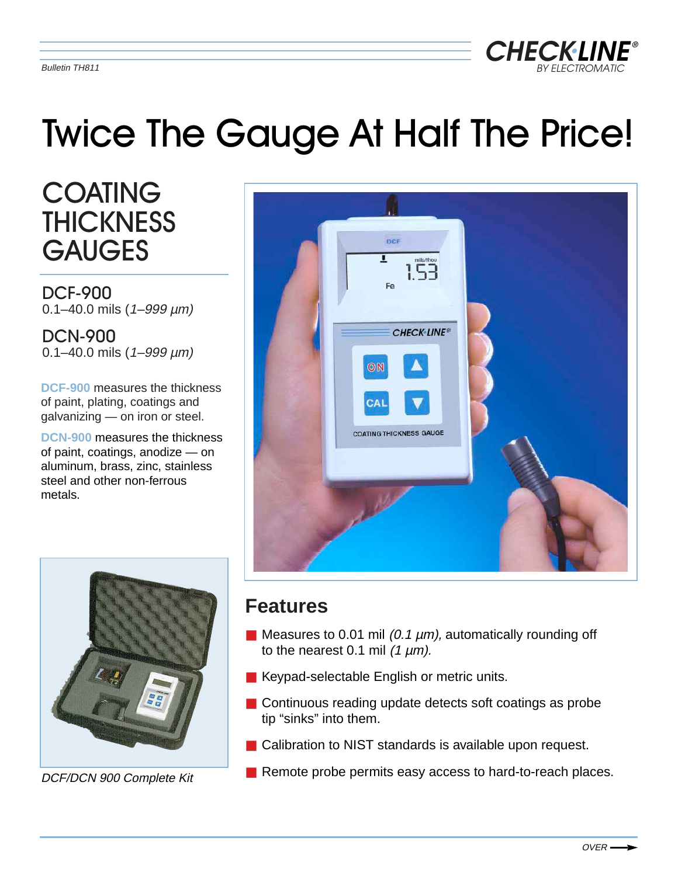

# Twice The Gauge At Half The Price!

**COATING THICKNESS GAUGES** 

DCF-900  $0.1 - 40.0$  mils  $(1 - 999 \mu m)$ 

DCN-900  $0.1 - 40.0$  mils  $(1 - 999 \mu m)$ 

**DCF-900** measures the thickness of paint, plating, coatings and galvanizing — on iron or steel.

**DCN-900** measures the thickness of paint, coatings, anodize — on aluminum, brass, zinc, stainless steel and other non-ferrous metals.





DCF/DCN 900 Complete Kit

# **Features**

- $\blacksquare$  Measures to 0.01 mil (0.1  $\mu$ m), automatically rounding off to the nearest 0.1 mil  $(1 \mu m)$ .
- Keypad-selectable English or metric units.
- Continuous reading update detects soft coatings as probe tip "sinks" into them.
- Calibration to NIST standards is available upon request.
- Remote probe permits easy access to hard-to-reach places.